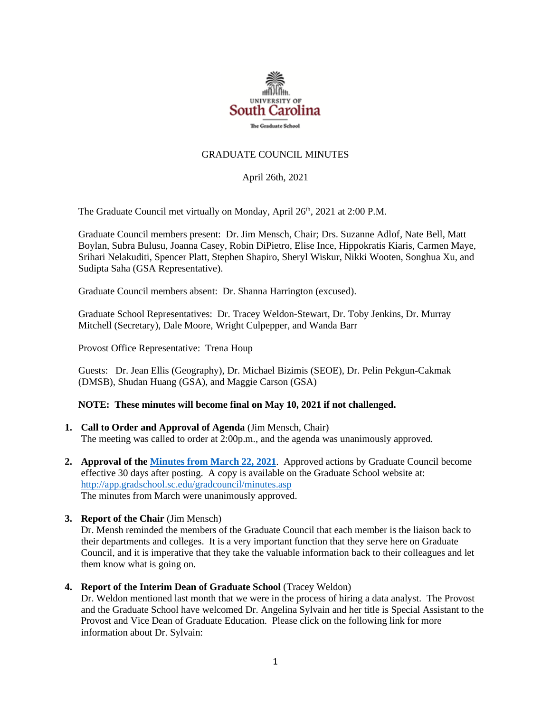

## GRADUATE COUNCIL MINUTES

April 26th, 2021

The Graduate Council met virtually on Monday, April 26<sup>th</sup>, 2021 at 2:00 P.M.

Graduate Council members present: Dr. Jim Mensch, Chair; Drs. Suzanne Adlof, Nate Bell, Matt Boylan, Subra Bulusu, Joanna Casey, Robin DiPietro, Elise Ince, Hippokratis Kiaris, Carmen Maye, Srihari Nelakuditi, Spencer Platt, Stephen Shapiro, Sheryl Wiskur, Nikki Wooten, Songhua Xu, and Sudipta Saha (GSA Representative).

Graduate Council members absent: Dr. Shanna Harrington (excused).

Graduate School Representatives: Dr. Tracey Weldon-Stewart, Dr. Toby Jenkins, Dr. Murray Mitchell (Secretary), Dale Moore, Wright Culpepper, and Wanda Barr

Provost Office Representative: Trena Houp

Guests: Dr. Jean Ellis (Geography), Dr. Michael Bizimis (SEOE), Dr. Pelin Pekgun-Cakmak (DMSB), Shudan Huang (GSA), and Maggie Carson (GSA)

## **NOTE: These minutes will become final on May 10, 2021 if not challenged.**

- **1. Call to Order and Approval of Agenda** (Jim Mensch, Chair) The meeting was called to order at 2:00p.m., and the agenda was unanimously approved.
- **2. Approval of th[e Minutes from March](file://///COSSLAOthello.ds.sc.edu/MIRROR/GRAD/WANDAB/Profile/Documents/Agendas%20and%20Minutes/GC%20MIin%203.22.21%20MFM.pdf) 22, 2021**. Approved actions by Graduate Council become effective 30 days after posting. A copy is available on the Graduate School website at: <http://app.gradschool.sc.edu/gradcouncil/minutes.asp> The minutes from March were unanimously approved.
- **3. Report of the Chair** (Jim Mensch)

Dr. Mensh reminded the members of the Graduate Council that each member is the liaison back to their departments and colleges. It is a very important function that they serve here on Graduate Council, and it is imperative that they take the valuable information back to their colleagues and let them know what is going on.

**4. Report of the Interim Dean of Graduate School** (Tracey Weldon)

Dr. Weldon mentioned last month that we were in the process of hiring a data analyst. The Provost and the Graduate School have welcomed Dr. Angelina Sylvain and her title is Special Assistant to the Provost and Vice Dean of Graduate Education. Please click on the following link for more information about Dr. Sylvain: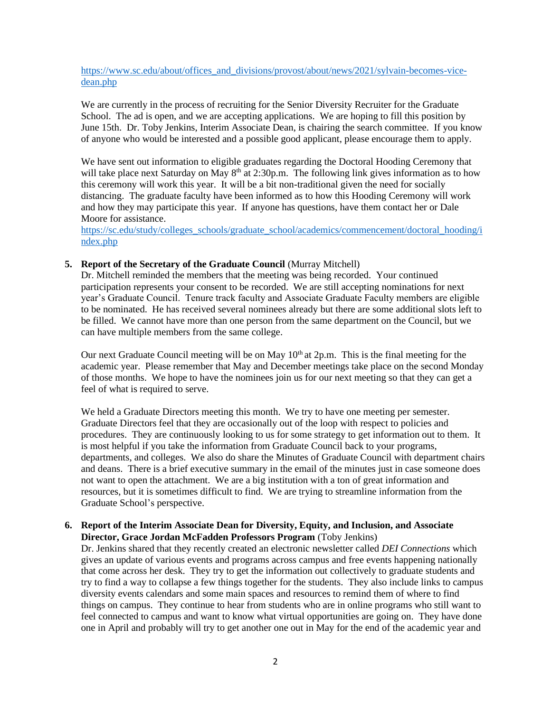[https://www.sc.edu/about/offices\\_and\\_divisions/provost/about/news/2021/sylvain-becomes-vice](https://www.sc.edu/about/offices_and_divisions/provost/about/news/2021/sylvain-becomes-vice-dean.php)[dean.php](https://www.sc.edu/about/offices_and_divisions/provost/about/news/2021/sylvain-becomes-vice-dean.php)

We are currently in the process of recruiting for the Senior Diversity Recruiter for the Graduate School. The ad is open, and we are accepting applications. We are hoping to fill this position by June 15th. Dr. Toby Jenkins, Interim Associate Dean, is chairing the search committee. If you know of anyone who would be interested and a possible good applicant, please encourage them to apply.

We have sent out information to eligible graduates regarding the Doctoral Hooding Ceremony that will take place next Saturday on May  $8<sup>th</sup>$  at 2:30p.m. The following link gives information as to how this ceremony will work this year. It will be a bit non-traditional given the need for socially distancing. The graduate faculty have been informed as to how this Hooding Ceremony will work and how they may participate this year. If anyone has questions, have them contact her or Dale Moore for assistance.

[https://sc.edu/study/colleges\\_schools/graduate\\_school/academics/commencement/doctoral\\_hooding/i](https://sc.edu/study/colleges_schools/graduate_school/academics/commencement/doctoral_hooding/index.php) [ndex.php](https://sc.edu/study/colleges_schools/graduate_school/academics/commencement/doctoral_hooding/index.php)

#### **5. Report of the Secretary of the Graduate Council** (Murray Mitchell)

Dr. Mitchell reminded the members that the meeting was being recorded. Your continued participation represents your consent to be recorded. We are still accepting nominations for next year's Graduate Council. Tenure track faculty and Associate Graduate Faculty members are eligible to be nominated. He has received several nominees already but there are some additional slots left to be filled. We cannot have more than one person from the same department on the Council, but we can have multiple members from the same college.

Our next Graduate Council meeting will be on May  $10<sup>th</sup>$  at  $2p.m$ . This is the final meeting for the academic year. Please remember that May and December meetings take place on the second Monday of those months. We hope to have the nominees join us for our next meeting so that they can get a feel of what is required to serve.

We held a Graduate Directors meeting this month. We try to have one meeting per semester. Graduate Directors feel that they are occasionally out of the loop with respect to policies and procedures. They are continuously looking to us for some strategy to get information out to them. It is most helpful if you take the information from Graduate Council back to your programs, departments, and colleges. We also do share the Minutes of Graduate Council with department chairs and deans. There is a brief executive summary in the email of the minutes just in case someone does not want to open the attachment. We are a big institution with a ton of great information and resources, but it is sometimes difficult to find. We are trying to streamline information from the Graduate School's perspective.

### **6. Report of the Interim Associate Dean for Diversity, Equity, and Inclusion, and Associate Director, Grace Jordan McFadden Professors Program** (Toby Jenkins)

Dr. Jenkins shared that they recently created an electronic newsletter called *DEI Connections* which gives an update of various events and programs across campus and free events happening nationally that come across her desk. They try to get the information out collectively to graduate students and try to find a way to collapse a few things together for the students. They also include links to campus diversity events calendars and some main spaces and resources to remind them of where to find things on campus. They continue to hear from students who are in online programs who still want to feel connected to campus and want to know what virtual opportunities are going on. They have done one in April and probably will try to get another one out in May for the end of the academic year and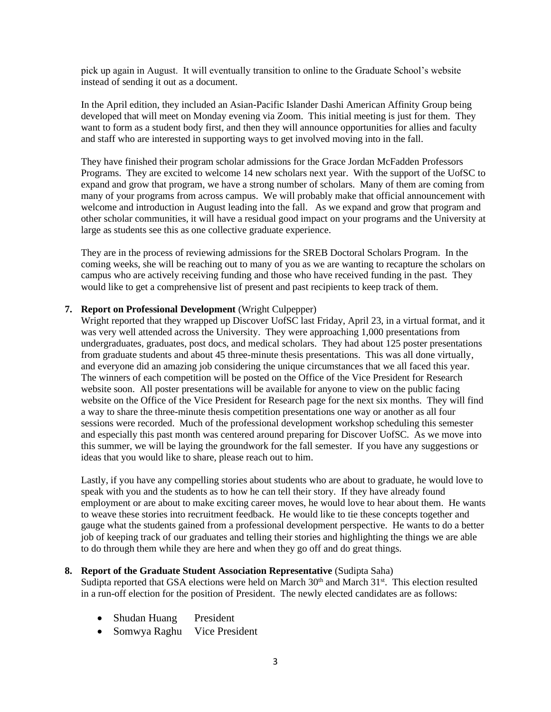pick up again in August. It will eventually transition to online to the Graduate School's website instead of sending it out as a document.

In the April edition, they included an Asian-Pacific Islander Dashi American Affinity Group being developed that will meet on Monday evening via Zoom. This initial meeting is just for them. They want to form as a student body first, and then they will announce opportunities for allies and faculty and staff who are interested in supporting ways to get involved moving into in the fall.

They have finished their program scholar admissions for the Grace Jordan McFadden Professors Programs. They are excited to welcome 14 new scholars next year. With the support of the UofSC to expand and grow that program, we have a strong number of scholars. Many of them are coming from many of your programs from across campus. We will probably make that official announcement with welcome and introduction in August leading into the fall. As we expand and grow that program and other scholar communities, it will have a residual good impact on your programs and the University at large as students see this as one collective graduate experience.

They are in the process of reviewing admissions for the SREB Doctoral Scholars Program. In the coming weeks, she will be reaching out to many of you as we are wanting to recapture the scholars on campus who are actively receiving funding and those who have received funding in the past. They would like to get a comprehensive list of present and past recipients to keep track of them.

### **7. Report on Professional Development** (Wright Culpepper)

Wright reported that they wrapped up Discover UofSC last Friday, April 23, in a virtual format, and it was very well attended across the University. They were approaching 1,000 presentations from undergraduates, graduates, post docs, and medical scholars. They had about 125 poster presentations from graduate students and about 45 three-minute thesis presentations. This was all done virtually, and everyone did an amazing job considering the unique circumstances that we all faced this year. The winners of each competition will be posted on the Office of the Vice President for Research website soon. All poster presentations will be available for anyone to view on the public facing website on the Office of the Vice President for Research page for the next six months. They will find a way to share the three-minute thesis competition presentations one way or another as all four sessions were recorded. Much of the professional development workshop scheduling this semester and especially this past month was centered around preparing for Discover UofSC. As we move into this summer, we will be laying the groundwork for the fall semester. If you have any suggestions or ideas that you would like to share, please reach out to him.

Lastly, if you have any compelling stories about students who are about to graduate, he would love to speak with you and the students as to how he can tell their story. If they have already found employment or are about to make exciting career moves, he would love to hear about them. He wants to weave these stories into recruitment feedback. He would like to tie these concepts together and gauge what the students gained from a professional development perspective. He wants to do a better job of keeping track of our graduates and telling their stories and highlighting the things we are able to do through them while they are here and when they go off and do great things.

## **8. Report of the Graduate Student Association Representative** (Sudipta Saha)

Sudipta reported that GSA elections were held on March  $30<sup>th</sup>$  and March  $31<sup>st</sup>$ . This election resulted in a run-off election for the position of President. The newly elected candidates are as follows:

- Shudan Huang President
- Somwya Raghu Vice President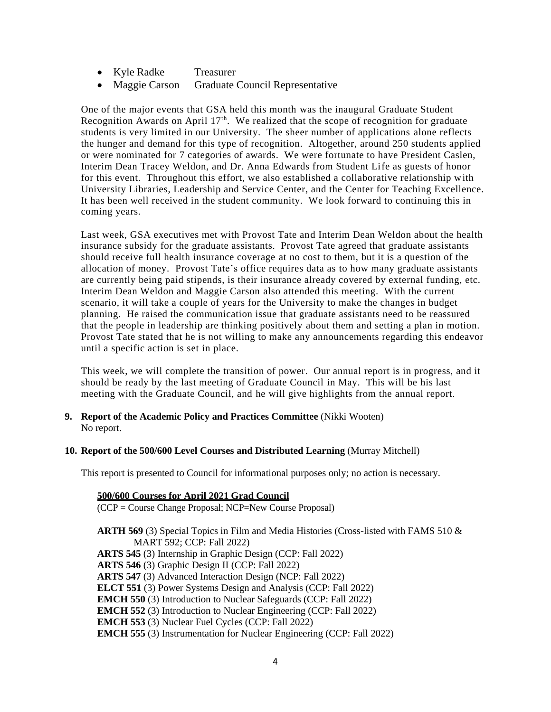- Kyle Radke Treasurer
- Maggie Carson Graduate Council Representative

One of the major events that GSA held this month was the inaugural Graduate Student Recognition Awards on April  $17<sup>th</sup>$ . We realized that the scope of recognition for graduate students is very limited in our University. The sheer number of applications alone reflects the hunger and demand for this type of recognition. Altogether, around 250 students applied or were nominated for 7 categories of awards. We were fortunate to have President Caslen, Interim Dean Tracey Weldon, and Dr. Anna Edwards from Student Life as guests of honor for this event. Throughout this effort, we also established a collaborative relationship with University Libraries, Leadership and Service Center, and the Center for Teaching Excellence. It has been well received in the student community. We look forward to continuing this in coming years.

Last week, GSA executives met with Provost Tate and Interim Dean Weldon about the health insurance subsidy for the graduate assistants. Provost Tate agreed that graduate assistants should receive full health insurance coverage at no cost to them, but it is a question of the allocation of money. Provost Tate's office requires data as to how many graduate assistants are currently being paid stipends, is their insurance already covered by external funding, etc. Interim Dean Weldon and Maggie Carson also attended this meeting. With the current scenario, it will take a couple of years for the University to make the changes in budget planning. He raised the communication issue that graduate assistants need to be reassured that the people in leadership are thinking positively about them and setting a plan in motion. Provost Tate stated that he is not willing to make any announcements regarding this endeavor until a specific action is set in place.

This week, we will complete the transition of power. Our annual report is in progress, and it should be ready by the last meeting of Graduate Council in May. This will be his last meeting with the Graduate Council, and he will give highlights from the annual report.

- **9. Report of the Academic Policy and Practices Committee** (Nikki Wooten) No report.
- **10. Report of the 500/600 Level Courses and Distributed Learning** (Murray Mitchell)

This report is presented to Council for informational purposes only; no action is necessary.

**500/600 Courses for April 2021 Grad Council** (CCP = Course Change Proposal; NCP=New Course Proposal) **ARTH 569** (3) Special Topics in Film and Media Histories (Cross-listed with FAMS 510 & MART 592; CCP: Fall 2022) **ARTS 545** (3) Internship in Graphic Design (CCP: Fall 2022) **ARTS 546** (3) Graphic Design II (CCP: Fall 2022) **ARTS 547** (3) Advanced Interaction Design (NCP: Fall 2022) **ELCT 551** (3) Power Systems Design and Analysis (CCP: Fall 2022) **EMCH 550** (3) Introduction to Nuclear Safeguards (CCP: Fall 2022) **EMCH 552** (3) Introduction to Nuclear Engineering (CCP: Fall 2022) **EMCH 553** (3) Nuclear Fuel Cycles (CCP: Fall 2022) **EMCH 555** (3) Instrumentation for Nuclear Engineering (CCP: Fall 2022)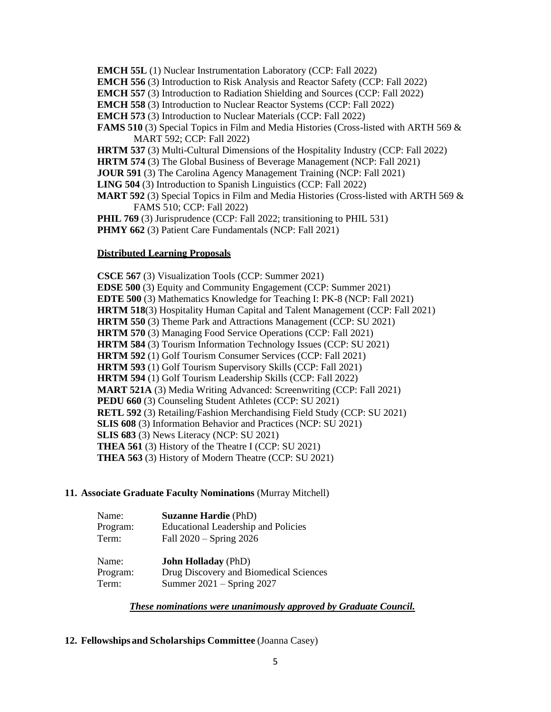- **EMCH 55L** (1) Nuclear Instrumentation Laboratory (CCP: Fall 2022)
- **EMCH 556** (3) Introduction to Risk Analysis and Reactor Safety (CCP: Fall 2022)
- **EMCH 557** (3) Introduction to Radiation Shielding and Sources (CCP: Fall 2022)
- **EMCH 558** (3) Introduction to Nuclear Reactor Systems (CCP: Fall 2022)
- **EMCH 573** (3) Introduction to Nuclear Materials (CCP: Fall 2022)
- **FAMS 510** (3) Special Topics in Film and Media Histories (Cross-listed with ARTH 569 & MART 592; CCP: Fall 2022)
- **HRTM 537** (3) Multi-Cultural Dimensions of the Hospitality Industry (CCP: Fall 2022)
- **HRTM 574** (3) The Global Business of Beverage Management (NCP: Fall 2021)
- **JOUR 591** (3) The Carolina Agency Management Training (NCP: Fall 2021)
- **LING 504** (3) Introduction to Spanish Linguistics (CCP: Fall 2022)
- **MART 592** (3) Special Topics in Film and Media Histories (Cross-listed with ARTH 569 & FAMS 510; CCP: Fall 2022)
- **PHIL 769** (3) Jurisprudence (CCP: Fall 2022; transitioning to PHIL 531)
- **PHMY 662** (3) Patient Care Fundamentals (NCP: Fall 2021)

### **Distributed Learning Proposals**

**CSCE 567** (3) Visualization Tools (CCP: Summer 2021) **EDSE 500** (3) Equity and Community Engagement (CCP: Summer 2021) **EDTE 500** (3) Mathematics Knowledge for Teaching I: PK-8 (NCP: Fall 2021) **HRTM 518**(3) Hospitality Human Capital and Talent Management (CCP: Fall 2021) **HRTM 550** (3) Theme Park and Attractions Management (CCP: SU 2021) **HRTM 570** (3) Managing Food Service Operations (CCP: Fall 2021) **HRTM 584** (3) Tourism Information Technology Issues (CCP: SU 2021) **HRTM 592** (1) Golf Tourism Consumer Services (CCP: Fall 2021) **HRTM 593** (1) Golf Tourism Supervisory Skills (CCP: Fall 2021) **HRTM 594** (1) Golf Tourism Leadership Skills (CCP: Fall 2022) **MART 521A** (3) Media Writing Advanced: Screenwriting (CCP: Fall 2021) **PEDU 660** (3) Counseling Student Athletes (CCP: SU 2021) **RETL 592** (3) Retailing/Fashion Merchandising Field Study (CCP: SU 2021) **SLIS 608** (3) Information Behavior and Practices (NCP: SU 2021) **SLIS 683** (3) News Literacy (NCP: SU 2021) **THEA 561** (3) History of the Theatre I (CCP: SU 2021) **THEA 563** (3) History of Modern Theatre (CCP: SU 2021)

#### **11. Associate Graduate Faculty Nominations** (Murray Mitchell)

| Name:    | <b>Suzanne Hardie (PhD)</b>                |
|----------|--------------------------------------------|
| Program: | <b>Educational Leadership and Policies</b> |
| Term:    | Fall $2020 -$ Spring $2026$                |

| Name:    | <b>John Holladay</b> (PhD)             |
|----------|----------------------------------------|
| Program: | Drug Discovery and Biomedical Sciences |
| Term:    | Summer $2021 -$ Spring 2027            |

## *These nominations were unanimously approved by Graduate Council.*

## **12. Fellowships and Scholarships Committee** (Joanna Casey)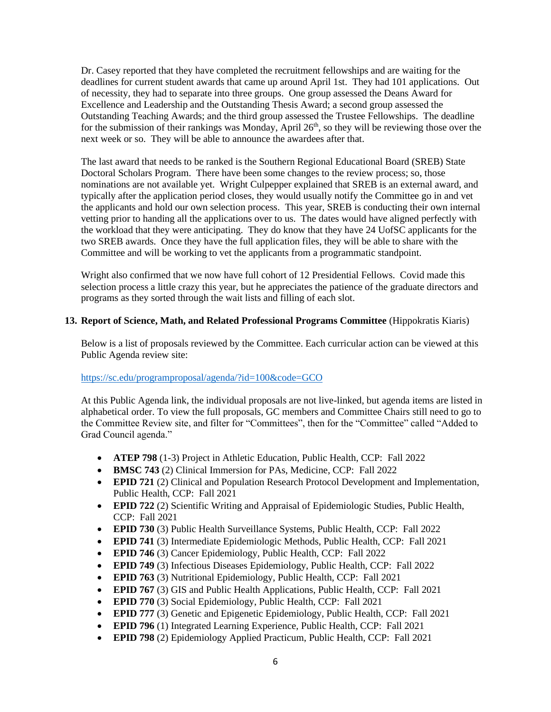Dr. Casey reported that they have completed the recruitment fellowships and are waiting for the deadlines for current student awards that came up around April 1st. They had 101 applications. Out of necessity, they had to separate into three groups. One group assessed the Deans Award for Excellence and Leadership and the Outstanding Thesis Award; a second group assessed the Outstanding Teaching Awards; and the third group assessed the Trustee Fellowships. The deadline for the submission of their rankings was Monday, April  $26<sup>th</sup>$ , so they will be reviewing those over the next week or so. They will be able to announce the awardees after that.

The last award that needs to be ranked is the Southern Regional Educational Board (SREB) State Doctoral Scholars Program. There have been some changes to the review process; so, those nominations are not available yet. Wright Culpepper explained that SREB is an external award, and typically after the application period closes, they would usually notify the Committee go in and vet the applicants and hold our own selection process. This year, SREB is conducting their own internal vetting prior to handing all the applications over to us. The dates would have aligned perfectly with the workload that they were anticipating. They do know that they have 24 UofSC applicants for the two SREB awards. Once they have the full application files, they will be able to share with the Committee and will be working to vet the applicants from a programmatic standpoint.

Wright also confirmed that we now have full cohort of 12 Presidential Fellows. Covid made this selection process a little crazy this year, but he appreciates the patience of the graduate directors and programs as they sorted through the wait lists and filling of each slot.

## **13. Report of Science, Math, and Related Professional Programs Committee** (Hippokratis Kiaris)

Below is a list of proposals reviewed by the Committee. Each curricular action can be viewed at this Public Agenda review site:

#### <https://sc.edu/programproposal/agenda/?id=100&code=GCO>

At this Public Agenda link, the individual proposals are not live-linked, but agenda items are listed in alphabetical order. To view the full proposals, GC members and Committee Chairs still need to go to the Committee Review site, and filter for "Committees", then for the "Committee" called "Added to Grad Council agenda."

- **ATEP 798** (1-3) Project in Athletic Education, Public Health, CCP: Fall 2022
- **BMSC 743** (2) Clinical Immersion for PAs, Medicine, CCP: Fall 2022
- **EPID 721** (2) Clinical and Population Research Protocol Development and Implementation, Public Health, CCP: Fall 2021
- **EPID 722** (2) Scientific Writing and Appraisal of Epidemiologic Studies, Public Health, CCP: Fall 2021
- **EPID 730** (3) Public Health Surveillance Systems, Public Health, CCP: Fall 2022
- **EPID 741** (3) Intermediate Epidemiologic Methods, Public Health, CCP: Fall 2021
- **EPID 746** (3) Cancer Epidemiology, Public Health, CCP: Fall 2022
- **EPID 749** (3) Infectious Diseases Epidemiology, Public Health, CCP: Fall 2022
- **EPID 763** (3) Nutritional Epidemiology, Public Health, CCP: Fall 2021
- **EPID 767** (3) GIS and Public Health Applications, Public Health, CCP: Fall 2021
- **EPID 770** (3) Social Epidemiology, Public Health, CCP: Fall 2021
- **EPID 777** (3) Genetic and Epigenetic Epidemiology, Public Health, CCP: Fall 2021
- **EPID 796** (1) Integrated Learning Experience, Public Health, CCP: Fall 2021
- **EPID 798** (2) Epidemiology Applied Practicum, Public Health, CCP: Fall 2021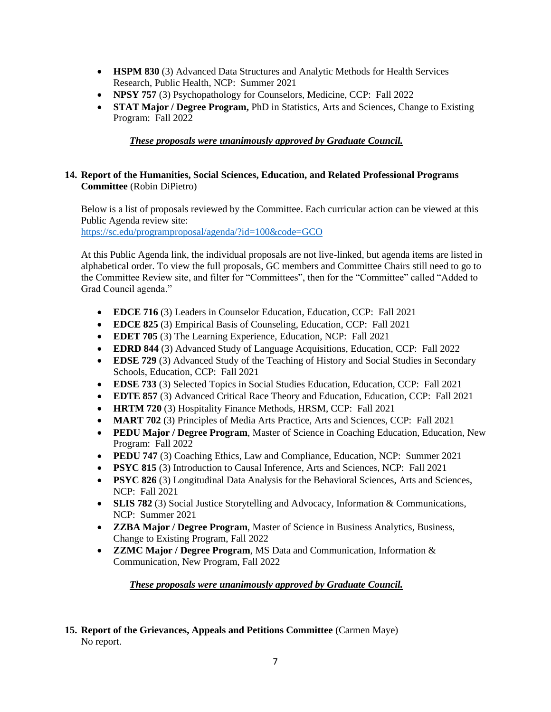- **HSPM 830** (3) Advanced Data Structures and Analytic Methods for Health Services Research, Public Health, NCP: Summer 2021
- **NPSY 757** (3) Psychopathology for Counselors, Medicine, CCP: Fall 2022
- **STAT Major / Degree Program,** PhD in Statistics, Arts and Sciences, Change to Existing Program: Fall 2022

# *These proposals were unanimously approved by Graduate Council.*

## **14. Report of the Humanities, Social Sciences, Education, and Related Professional Programs Committee** (Robin DiPietro)

Below is a list of proposals reviewed by the Committee. Each curricular action can be viewed at this Public Agenda review site:

<https://sc.edu/programproposal/agenda/?id=100&code=GCO>

At this Public Agenda link, the individual proposals are not live-linked, but agenda items are listed in alphabetical order. To view the full proposals, GC members and Committee Chairs still need to go to the Committee Review site, and filter for "Committees", then for the "Committee" called "Added to Grad Council agenda."

- **EDCE 716** (3) Leaders in Counselor Education, Education, CCP: Fall 2021
- **EDCE 825** (3) Empirical Basis of Counseling, Education, CCP: Fall 2021
- **EDET 705** (3) The Learning Experience, Education, NCP: Fall 2021
- **EDRD 844** (3) Advanced Study of Language Acquisitions, Education, CCP: Fall 2022
- **EDSE 729** (3) Advanced Study of the Teaching of History and Social Studies in Secondary Schools, Education, CCP: Fall 2021
- **EDSE 733** (3) Selected Topics in Social Studies Education, Education, CCP: Fall 2021
- **EDTE 857** (3) Advanced Critical Race Theory and Education, Education, CCP: Fall 2021
- **HRTM 720** (3) Hospitality Finance Methods, HRSM, CCP: Fall 2021
- **MART 702** (3) Principles of Media Arts Practice, Arts and Sciences, CCP: Fall 2021
- **PEDU Major / Degree Program**, Master of Science in Coaching Education, Education, New Program: Fall 2022
- **PEDU 747** (3) Coaching Ethics, Law and Compliance, Education, NCP: Summer 2021
- **PSYC 815** (3) Introduction to Causal Inference, Arts and Sciences, NCP: Fall 2021
- **PSYC 826** (3) Longitudinal Data Analysis for the Behavioral Sciences, Arts and Sciences, NCP: Fall 2021
- **SLIS 782** (3) Social Justice Storytelling and Advocacy, Information & Communications, NCP: Summer 2021
- **ZZBA Major / Degree Program**, Master of Science in Business Analytics, Business, Change to Existing Program, Fall 2022
- **ZZMC Major / Degree Program**, MS Data and Communication, Information & Communication, New Program, Fall 2022

*These proposals were unanimously approved by Graduate Council.*

## **15. Report of the Grievances, Appeals and Petitions Committee** (Carmen Maye) No report.